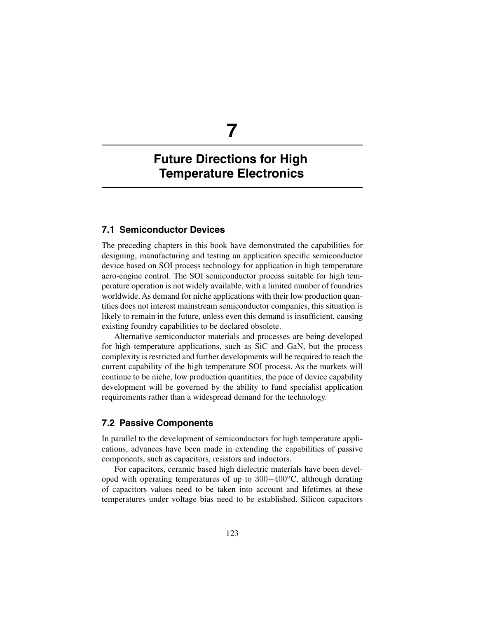# **Future Directions for High Temperature Electronics**

# **7.1 Semiconductor Devices**

The preceding chapters in this book have demonstrated the capabilities for designing, manufacturing and testing an application specific semiconductor device based on SOI process technology for application in high temperature aero-engine control. The SOI semiconductor process suitable for high temperature operation is not widely available, with a limited number of foundries worldwide. As demand for niche applications with their low production quantities does not interest mainstream semiconductor companies, this situation is likely to remain in the future, unless even this demand is insufficient, causing existing foundry capabilities to be declared obsolete.

Alternative semiconductor materials and processes are being developed for high temperature applications, such as SiC and GaN, but the process complexity is restricted and further developments will be required to reach the current capability of the high temperature SOI process. As the markets will continue to be niche, low production quantities, the pace of device capability development will be governed by the ability to fund specialist application requirements rather than a widespread demand for the technology.

#### **7.2 Passive Components**

In parallel to the development of semiconductors for high temperature applications, advances have been made in extending the capabilities of passive components, such as capacitors, resistors and inductors.

For capacitors, ceramic based high dielectric materials have been developed with operating temperatures of up to 300−400◦C, although derating of capacitors values need to be taken into account and lifetimes at these temperatures under voltage bias need to be established. Silicon capacitors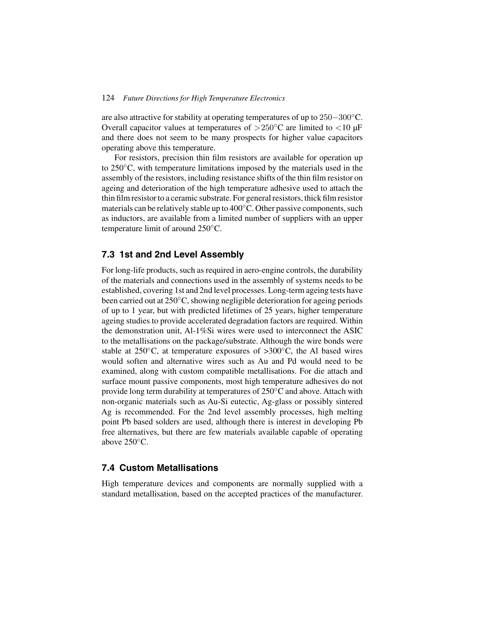#### 124 *Future Directions for High Temperature Electronics*

are also attractive for stability at operating temperatures of up to 250−300◦C. Overall capacitor values at temperatures of  $>250^{\circ}$ C are limited to  $<10 \mu$ F and there does not seem to be many prospects for higher value capacitors operating above this temperature.

For resistors, precision thin film resistors are available for operation up to 250◦C, with temperature limitations imposed by the materials used in the assembly of the resistors, including resistance shifts of the thin film resistor on ageing and deterioration of the high temperature adhesive used to attach the thin film resistor to a ceramic substrate. For general resistors, thick film resistor materials can be relatively stable up to 400◦C. Other passive components, such as inductors, are available from a limited number of suppliers with an upper temperature limit of around 250◦C.

# **7.3 1st and 2nd Level Assembly**

For long-life products, such as required in aero-engine controls, the durability of the materials and connections used in the assembly of systems needs to be established, covering 1st and 2nd level processes. Long-term ageing tests have been carried out at 250<sup>°</sup>C, showing negligible deterioration for ageing periods of up to 1 year, but with predicted lifetimes of 25 years, higher temperature ageing studies to provide accelerated degradation factors are required. Within the demonstration unit, Al-1%Si wires were used to interconnect the ASIC to the metallisations on the package/substrate. Although the wire bonds were stable at 250 $\degree$ C, at temperature exposures of >300 $\degree$ C, the Al based wires would soften and alternative wires such as Au and Pd would need to be examined, along with custom compatible metallisations. For die attach and surface mount passive components, most high temperature adhesives do not provide long term durability at temperatures of  $250^{\circ}$ C and above. Attach with non-organic materials such as Au-Si eutectic, Ag-glass or possibly sintered Ag is recommended. For the 2nd level assembly processes, high melting point Pb based solders are used, although there is interest in developing Pb free alternatives, but there are few materials available capable of operating above 250◦C.

## **7.4 Custom Metallisations**

High temperature devices and components are normally supplied with a standard metallisation, based on the accepted practices of the manufacturer.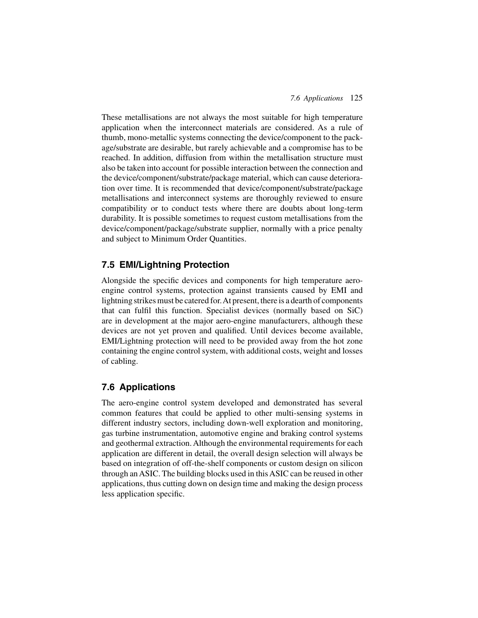These metallisations are not always the most suitable for high temperature application when the interconnect materials are considered. As a rule of thumb, mono-metallic systems connecting the device/component to the package/substrate are desirable, but rarely achievable and a compromise has to be reached. In addition, diffusion from within the metallisation structure must also be taken into account for possible interaction between the connection and the device/component/substrate/package material, which can cause deterioration over time. It is recommended that device/component/substrate/package metallisations and interconnect systems are thoroughly reviewed to ensure compatibility or to conduct tests where there are doubts about long-term durability. It is possible sometimes to request custom metallisations from the device/component/package/substrate supplier, normally with a price penalty and subject to Minimum Order Quantities.

# **7.5 EMI/Lightning Protection**

Alongside the specific devices and components for high temperature aeroengine control systems, protection against transients caused by EMI and lightning strikes must be catered for.At present, there is a dearth of components that can fulfil this function. Specialist devices (normally based on SiC) are in development at the major aero-engine manufacturers, although these devices are not yet proven and qualified. Until devices become available, EMI/Lightning protection will need to be provided away from the hot zone containing the engine control system, with additional costs, weight and losses of cabling.

# **7.6 Applications**

The aero-engine control system developed and demonstrated has several common features that could be applied to other multi-sensing systems in different industry sectors, including down-well exploration and monitoring, gas turbine instrumentation, automotive engine and braking control systems and geothermal extraction. Although the environmental requirements for each application are different in detail, the overall design selection will always be based on integration of off-the-shelf components or custom design on silicon through an ASIC. The building blocks used in this ASIC can be reused in other applications, thus cutting down on design time and making the design process less application specific.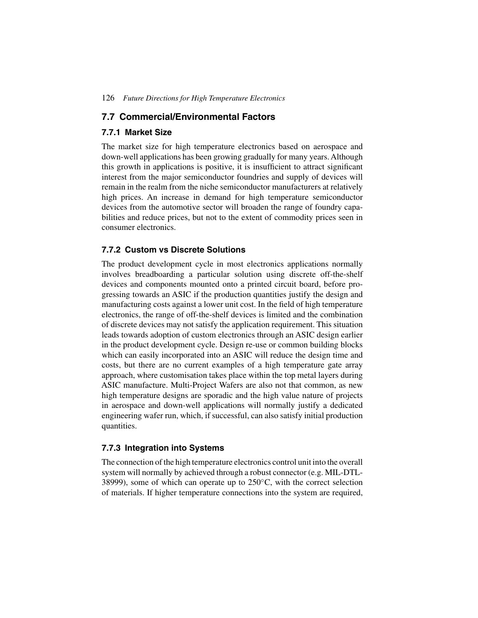## **7.7 Commercial/Environmental Factors**

#### **7.7.1 Market Size**

The market size for high temperature electronics based on aerospace and down-well applications has been growing gradually for many years. Although this growth in applications is positive, it is insufficient to attract significant interest from the major semiconductor foundries and supply of devices will remain in the realm from the niche semiconductor manufacturers at relatively high prices. An increase in demand for high temperature semiconductor devices from the automotive sector will broaden the range of foundry capabilities and reduce prices, but not to the extent of commodity prices seen in consumer electronics.

## **7.7.2 Custom vs Discrete Solutions**

The product development cycle in most electronics applications normally involves breadboarding a particular solution using discrete off-the-shelf devices and components mounted onto a printed circuit board, before progressing towards an ASIC if the production quantities justify the design and manufacturing costs against a lower unit cost. In the field of high temperature electronics, the range of off-the-shelf devices is limited and the combination of discrete devices may not satisfy the application requirement. This situation leads towards adoption of custom electronics through an ASIC design earlier in the product development cycle. Design re-use or common building blocks which can easily incorporated into an ASIC will reduce the design time and costs, but there are no current examples of a high temperature gate array approach, where customisation takes place within the top metal layers during ASIC manufacture. Multi-Project Wafers are also not that common, as new high temperature designs are sporadic and the high value nature of projects in aerospace and down-well applications will normally justify a dedicated engineering wafer run, which, if successful, can also satisfy initial production quantities.

#### **7.7.3 Integration into Systems**

The connection of the high temperature electronics control unit into the overall system will normally by achieved through a robust connector (e.g. MIL-DTL-38999), some of which can operate up to  $250^{\circ}$ C, with the correct selection of materials. If higher temperature connections into the system are required,